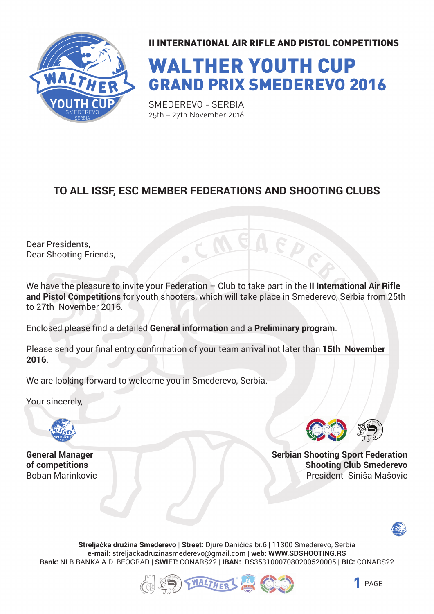

# WALTHER YOUTH CUP GRAND PRIX SMEDEREVO 2016

SMEDEREVO - SERBIA 25th – 27th November 2016.

#### **TO ALL ISSF, ESC MEMBER FEDERATIONS AND SHOOTING CLUBS**

Dear Presidents, Dear Shooting Friends,

We have the pleasure to invite your Federation - Club to take part in the II International Air Rifle **and Pistol Competitions** for youth shooters, which will take place in Smederevo, Serbia from 25th to 27th November 2016.

Enclosed please find a detailed **General information** and a **Preliminary program**.

Please send your final entry confirmation of your team arrival not later than 15th November **2016**.

We are looking forward to welcome you in Smederevo, Serbia.

Your sincerely,



**General Manager of competitions** Boban Marinkovic



**Serbian Shooting Sport Federation Shooting Club Smederevo** President Siniša Mašovic



**Streljačka družina Smederevo** | **Street:** Djure Daničića br.6 | 11300 Smederevo, Serbia **e-mail:** streljackadruzinasmederevo@gmail.com | **web: WWW.SDSHOOTING.RS Bank:** NLB BANKA A.D. BEOGRAD | **SWIFT:** CONARS22 | **IBAN:** RS35310007080200520005 | **BIC:** CONARS22



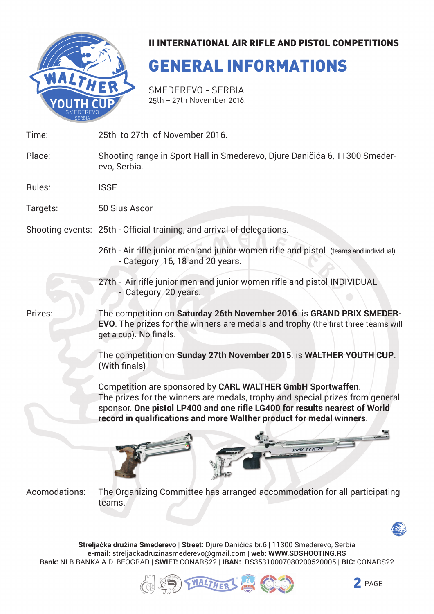

## GENERAL INFORMATIONS

SMEDEREVO - SERBIA 25th – 27th November 2016.

25th to 27th of November 2016. Time:

- Shooting range in Sport Hall in Smederevo, Djure Daničića 6, 11300 Smederevo, Serbia. Place:
- ISSF Rules:

50 Sius Ascor Targets:

- Shooting events: 25th Official training, and arrival of delegations.
	- 26th Air rifle junior men and junior women rifle and pistol (teams and individual) - Category 16, 18 and 20 years.
	- 27th Air rifle junior men and junior women rifle and pistol INDIVIDUAL - Category 20 years.

Prizes:

The competition on **Saturday 26th November 2016**. is **GRAND PRIX SMEDER-EVO**. The prizes for the winners are medals and trophy (the first three teams will get a cup). No finals.

The competition on **Sunday 27th November 2015**. is **WALTHER YOUTH CUP**. (With finals)

Competition are sponsored by **CARL WALTHER GmbH Sportwaffen**. The prizes for the winners are medals, trophy and special prizes from general sponsor. One pistol LP400 and one rifle LG400 for results nearest of World record in qualifications and more Walther product for medal winners.



The Organizing Committee has arranged accommodation for all participating teams. Acomodations:

**Streljačka družina Smederevo** | **Street:** Djure Daničića br.6 | 11300 Smederevo, Serbia **e-mail:** streljackadruzinasmederevo@gmail.com | **web: WWW.SDSHOOTING.RS Bank:** NLB BANKA A.D. BEOGRAD | **SWIFT:** CONARS22 | **IBAN:** RS35310007080200520005 | **BIC:** CONARS22



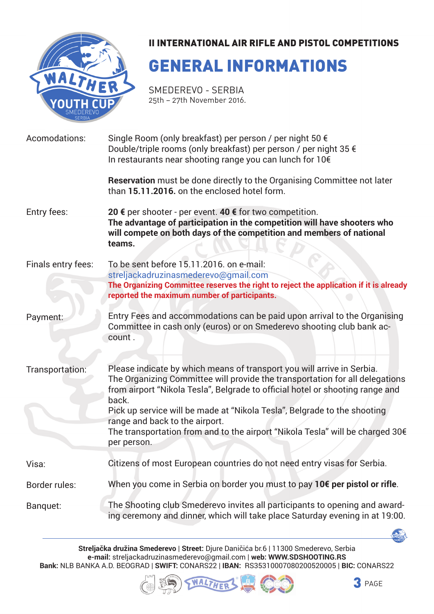

## GENERAL INFORMATIONS

SMEDEREVO - SERBIA 25th – 27th November 2016.

| Acomodations:      | Single Room (only breakfast) per person / per night 50 €<br>Double/triple rooms (only breakfast) per person / per night 35 €<br>In restaurants near shooting range you can lunch for 10€                                                                                                                                                                                                                                                                       |  |  |
|--------------------|----------------------------------------------------------------------------------------------------------------------------------------------------------------------------------------------------------------------------------------------------------------------------------------------------------------------------------------------------------------------------------------------------------------------------------------------------------------|--|--|
|                    | <b>Reservation</b> must be done directly to the Organising Committee not later<br>than 15.11.2016. on the enclosed hotel form.                                                                                                                                                                                                                                                                                                                                 |  |  |
| Entry fees:        | 20 € per shooter - per event. 40 € for two competition.<br>The advantage of participation in the competition will have shooters who<br>will compete on both days of the competition and members of national<br>teams.                                                                                                                                                                                                                                          |  |  |
| Finals entry fees: | To be sent before 15.11.2016. on e-mail:<br>streljackadruzinasmederevo@gmail.com<br>The Organizing Committee reserves the right to reject the application if it is already<br>reported the maximum number of participants.                                                                                                                                                                                                                                     |  |  |
| Payment:           | Entry Fees and accommodations can be paid upon arrival to the Organising<br>Committee in cash only (euros) or on Smederevo shooting club bank ac-<br>count.                                                                                                                                                                                                                                                                                                    |  |  |
| Transportation:    | Please indicate by which means of transport you will arrive in Serbia.<br>The Organizing Committee will provide the transportation for all delegations<br>from airport "Nikola Tesla", Belgrade to official hotel or shooting range and<br>back.<br>Pick up service will be made at "Nikola Tesla", Belgrade to the shooting<br>range and back to the airport.<br>The transportation from and to the airport "Nikola Tesla" will be charged 30€<br>per person. |  |  |
| Visa:              | Citizens of most European countries do not need entry visas for Serbia.                                                                                                                                                                                                                                                                                                                                                                                        |  |  |
| Border rules:      | When you come in Serbia on border you must to pay 10€ per pistol or rifle.                                                                                                                                                                                                                                                                                                                                                                                     |  |  |
| Banquet:           | The Shooting club Smederevo invites all participants to opening and award-<br>ing ceremony and dinner, which will take place Saturday evening in at 19:00.                                                                                                                                                                                                                                                                                                     |  |  |

**Streljačka družina Smederevo** | **Street:** Djure Daničića br.6 | 11300 Smederevo, Serbia **e-mail:** streljackadruzinasmederevo@gmail.com | **web: WWW.SDSHOOTING.RS Bank:** NLB BANKA A.D. BEOGRAD | **SWIFT:** CONARS22 | **IBAN:** RS35310007080200520005 | **BIC:** CONARS22





**ALLEY A**